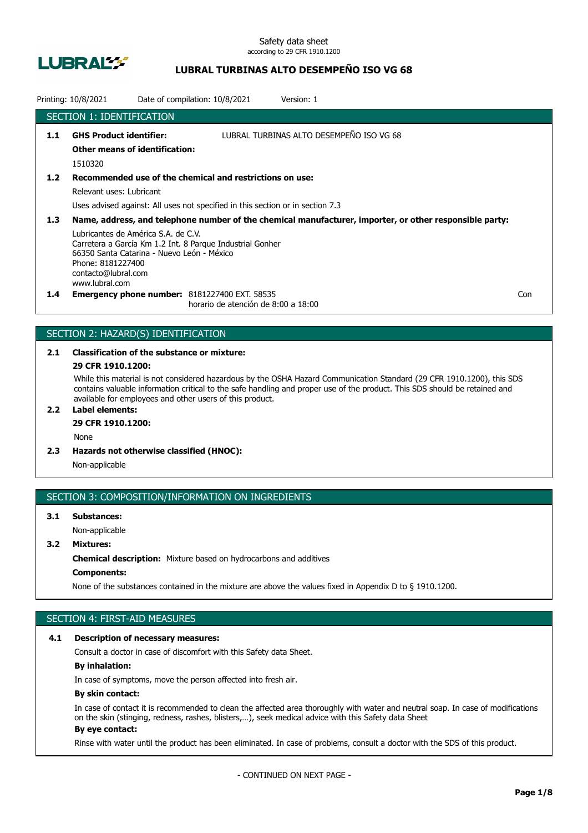

# **LUBRAL TURBINAS ALTO DESEMPEÑO ISO VG 68**

|                  | Printing: 10/8/2021                                                                                                                             | Date of compilation: 10/8/2021                                                                                                             | Version: 1                                                                                              |     |
|------------------|-------------------------------------------------------------------------------------------------------------------------------------------------|--------------------------------------------------------------------------------------------------------------------------------------------|---------------------------------------------------------------------------------------------------------|-----|
|                  | SECTION 1: IDENTIFICATION                                                                                                                       |                                                                                                                                            |                                                                                                         |     |
| 1.1              | <b>GHS Product identifier:</b><br><b>Other means of identification:</b><br>1510320                                                              |                                                                                                                                            | LUBRAL TURBINAS ALTO DESEMPEÑO ISO VG 68                                                                |     |
| 1.2              | Relevant uses: Lubricant                                                                                                                        | Recommended use of the chemical and restrictions on use:<br>Uses advised against: All uses not specified in this section or in section 7.3 |                                                                                                         |     |
| 1.3 <sub>2</sub> | Lubricantes de América S.A. de C.V.<br>66350 Santa Catarina - Nuevo León - México<br>Phone: 8181227400<br>contacto@lubral.com<br>www.lubral.com | Carretera a García Km 1.2 Int. 8 Parque Industrial Gonher                                                                                  | Name, address, and telephone number of the chemical manufacturer, importer, or other responsible party: |     |
| $1.4^{\circ}$    |                                                                                                                                                 | <b>Emergency phone number: 8181227400 EXT. 58535</b><br>horario de atención de 8:00 a 18:00                                                |                                                                                                         | Con |

# SECTION 2: HAZARD(S) IDENTIFICATION

# **2.1 Classification of the substance or mixture:**

# **29 CFR 1910.1200:**

While this material is not considered hazardous by the OSHA Hazard Communication Standard (29 CFR 1910.1200), this SDS contains valuable information critical to the safe handling and proper use of the product. This SDS should be retained and available for employees and other users of this product.

# **2.2 Label elements:**

# **29 CFR 1910.1200:**

None

**2.3 Hazards not otherwise classified (HNOC):**

Non-applicable

# SECTION 3: COMPOSITION/INFORMATION ON INGREDIENTS

# **3.1 Substances:** Non-applicable

# **3.2 Mixtures:**

**Chemical description:** Mixture based on hydrocarbons and additives

### **Components:**

None of the substances contained in the mixture are above the values fixed in Appendix D to § 1910.1200.

# SECTION 4: FIRST-AID MEASURES

#### **4.1 Description of necessary measures:**

Consult a doctor in case of discomfort with this Safety data Sheet.

### **By inhalation:**

In case of symptoms, move the person affected into fresh air.

#### **By skin contact:**

In case of contact it is recommended to clean the affected area thoroughly with water and neutral soap. In case of modifications on the skin (stinging, redness, rashes, blisters,…), seek medical advice with this Safety data Sheet **By eye contact:**

#### Rinse with water until the product has been eliminated. In case of problems, consult a doctor with the SDS of this product.

- CONTINUED ON NEXT PAGE -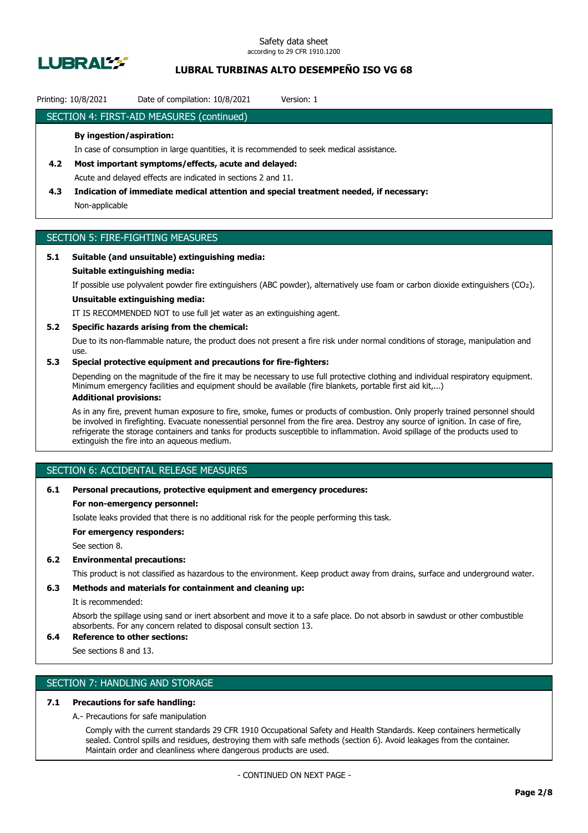

# **LUBRAL TURBINAS ALTO DESEMPEÑO ISO VG 68**

### Printing: 10/8/2021 Date of compilation: 10/8/2021 Version: 1

### SECTION 4: FIRST-AID MEASURES (continued)

#### **By ingestion/aspiration:**

In case of consumption in large quantities, it is recommended to seek medical assistance.

- **4.2 Most important symptoms/effects, acute and delayed:** Acute and delayed effects are indicated in sections 2 and 11.
- **4.3 Indication of immediate medical attention and special treatment needed, if necessary:** Non-applicable

# SECTION 5: FIRE-FIGHTING MEASURES

#### **5.1 Suitable (and unsuitable) extinguishing media:**

#### **Suitable extinguishing media:**

If possible use polyvalent powder fire extinguishers (ABC powder), alternatively use foam or carbon dioxide extinguishers (CO₂).

# **Unsuitable extinguishing media:**

IT IS RECOMMENDED NOT to use full jet water as an extinguishing agent.

#### **5.2 Specific hazards arising from the chemical:**

Due to its non-flammable nature, the product does not present a fire risk under normal conditions of storage, manipulation and use.

### **5.3 Special protective equipment and precautions for fire-fighters:**

Depending on the magnitude of the fire it may be necessary to use full protective clothing and individual respiratory equipment. Minimum emergency facilities and equipment should be available (fire blankets, portable first aid kit,...)

### **Additional provisions:**

As in any fire, prevent human exposure to fire, smoke, fumes or products of combustion. Only properly trained personnel should be involved in firefighting. Evacuate nonessential personnel from the fire area. Destroy any source of ignition. In case of fire, refrigerate the storage containers and tanks for products susceptible to inflammation. Avoid spillage of the products used to extinguish the fire into an aqueous medium.

# SECTION 6: ACCIDENTAL RELEASE MEASURES

#### **6.1 Personal precautions, protective equipment and emergency procedures:**

#### **For non-emergency personnel:**

Isolate leaks provided that there is no additional risk for the people performing this task.

**For emergency responders:**

See section 8.

#### **6.2 Environmental precautions:**

This product is not classified as hazardous to the environment. Keep product away from drains, surface and underground water.

### **6.3 Methods and materials for containment and cleaning up:**

It is recommended:

Absorb the spillage using sand or inert absorbent and move it to a safe place. Do not absorb in sawdust or other combustible absorbents. For any concern related to disposal consult section 13.

# **6.4 Reference to other sections:**

See sections 8 and 13.

# SECTION 7: HANDLING AND STORAGE

### **7.1 Precautions for safe handling:**

A.- Precautions for safe manipulation

Comply with the current standards 29 CFR 1910 Occupational Safety and Health Standards. Keep containers hermetically sealed. Control spills and residues, destroying them with safe methods (section 6). Avoid leakages from the container. Maintain order and cleanliness where dangerous products are used.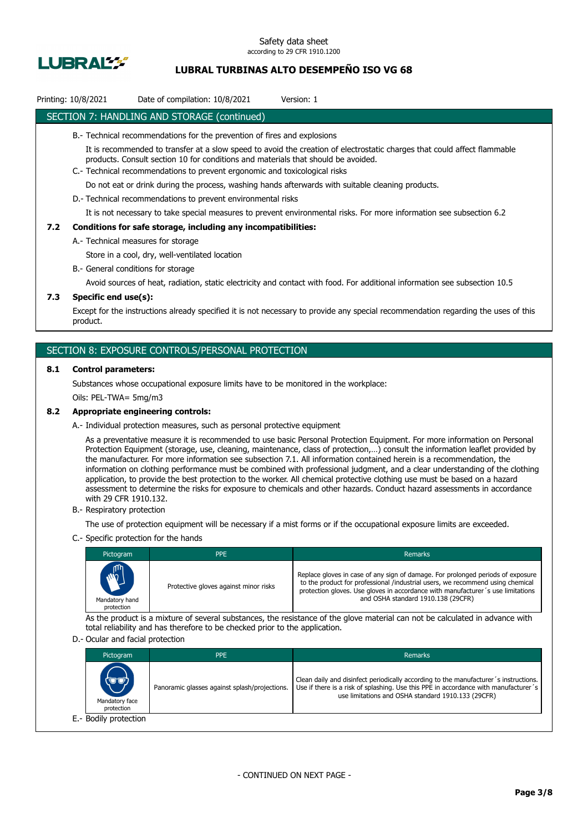

# **LUBRAL TURBINAS ALTO DESEMPEÑO ISO VG 68**

# Printing: 10/8/2021 Date of compilation: 10/8/2021 Version: 1

### SECTION 7: HANDLING AND STORAGE (continued)

- B.- Technical recommendations for the prevention of fires and explosions
	- It is recommended to transfer at a slow speed to avoid the creation of electrostatic charges that could affect flammable products. Consult section 10 for conditions and materials that should be avoided.
- C.- Technical recommendations to prevent ergonomic and toxicological risks

Do not eat or drink during the process, washing hands afterwards with suitable cleaning products.

D.- Technical recommendations to prevent environmental risks

It is not necessary to take special measures to prevent environmental risks. For more information see subsection 6.2

#### **7.2 Conditions for safe storage, including any incompatibilities:**

A.- Technical measures for storage

Store in a cool, dry, well-ventilated location

B.- General conditions for storage

Avoid sources of heat, radiation, static electricity and contact with food. For additional information see subsection 10.5

### **7.3 Specific end use(s):**

Except for the instructions already specified it is not necessary to provide any special recommendation regarding the uses of this product.

### SECTION 8: EXPOSURE CONTROLS/PERSONAL PROTECTION

#### **8.1 Control parameters:**

Substances whose occupational exposure limits have to be monitored in the workplace:

Oils: PEL-TWA= 5mg/m3

#### **8.2 Appropriate engineering controls:**

A.- Individual protection measures, such as personal protective equipment

As a preventative measure it is recommended to use basic Personal Protection Equipment. For more information on Personal Protection Equipment (storage, use, cleaning, maintenance, class of protection,…) consult the information leaflet provided by the manufacturer. For more information see subsection 7.1. All information contained herein is a recommendation, the information on clothing performance must be combined with professional judgment, and a clear understanding of the clothing application, to provide the best protection to the worker. All chemical protective clothing use must be based on a hazard assessment to determine the risks for exposure to chemicals and other hazards. Conduct hazard assessments in accordance with 29 CFR 1910.132.

B.- Respiratory protection

The use of protection equipment will be necessary if a mist forms or if the occupational exposure limits are exceeded.

C.- Specific protection for the hands

| Pictogram                                  | <b>PPE</b>                            | <b>Remarks</b>                                                                                                                                                                                                                                                                             |
|--------------------------------------------|---------------------------------------|--------------------------------------------------------------------------------------------------------------------------------------------------------------------------------------------------------------------------------------------------------------------------------------------|
| <b>AND</b><br>Mandatory hand<br>protection | Protective gloves against minor risks | Replace gloves in case of any sign of damage. For prolonged periods of exposure<br>to the product for professional /industrial users, we recommend using chemical<br>protection gloves. Use gloves in accordance with manufacturer's use limitations<br>and OSHA standard 1910.138 (29CFR) |

As the product is a mixture of several substances, the resistance of the glove material can not be calculated in advance with total reliability and has therefore to be checked prior to the application.

#### D.- Ocular and facial protection

| Pictogram                            | <b>PPE</b>                                    | Remarks                                                                                                                                                                                                                           |
|--------------------------------------|-----------------------------------------------|-----------------------------------------------------------------------------------------------------------------------------------------------------------------------------------------------------------------------------------|
| (UU)<br>Mandatory face<br>protection | Panoramic glasses against splash/projections. | Clean daily and disinfect periodically according to the manufacturer's instructions.<br>Use if there is a risk of splashing. Use this PPE in accordance with manufacturer's<br>use limitations and OSHA standard 1910.133 (29CFR) |
| E.- Bodily protection                |                                               |                                                                                                                                                                                                                                   |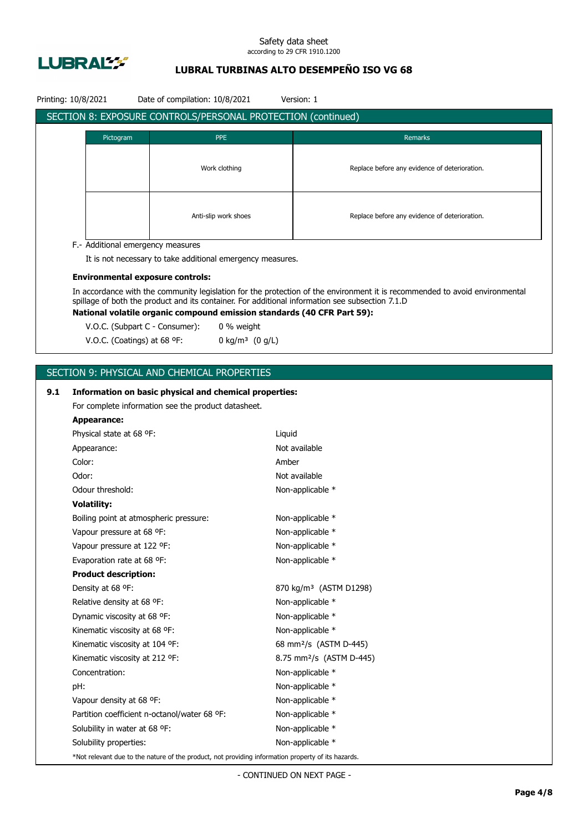

# **LUBRAL TURBINAS ALTO DESEMPEÑO ISO VG 68**

|     | Printing: 10/8/2021 |                                                                 | Date of compilation: 10/8/2021                      |                                                                                                    | Version: 1                                                                                                                                                                 |  |  |
|-----|---------------------|-----------------------------------------------------------------|-----------------------------------------------------|----------------------------------------------------------------------------------------------------|----------------------------------------------------------------------------------------------------------------------------------------------------------------------------|--|--|
|     |                     |                                                                 |                                                     | SECTION 8: EXPOSURE CONTROLS/PERSONAL PROTECTION (continued)                                       |                                                                                                                                                                            |  |  |
|     |                     | Pictogram                                                       |                                                     | <b>PPE</b>                                                                                         | Remarks                                                                                                                                                                    |  |  |
|     |                     |                                                                 |                                                     |                                                                                                    |                                                                                                                                                                            |  |  |
|     |                     |                                                                 |                                                     |                                                                                                    |                                                                                                                                                                            |  |  |
|     |                     |                                                                 |                                                     | Work clothing                                                                                      | Replace before any evidence of deterioration.                                                                                                                              |  |  |
|     |                     |                                                                 |                                                     |                                                                                                    |                                                                                                                                                                            |  |  |
|     |                     |                                                                 |                                                     |                                                                                                    |                                                                                                                                                                            |  |  |
|     |                     |                                                                 |                                                     | Anti-slip work shoes                                                                               | Replace before any evidence of deterioration.                                                                                                                              |  |  |
|     |                     |                                                                 |                                                     |                                                                                                    |                                                                                                                                                                            |  |  |
|     |                     |                                                                 | F.- Additional emergency measures                   |                                                                                                    |                                                                                                                                                                            |  |  |
|     |                     |                                                                 |                                                     | It is not necessary to take additional emergency measures.                                         |                                                                                                                                                                            |  |  |
|     |                     |                                                                 | <b>Environmental exposure controls:</b>             |                                                                                                    |                                                                                                                                                                            |  |  |
|     |                     |                                                                 |                                                     |                                                                                                    | In accordance with the community legislation for the protection of the environment it is recommended to avoid environmental                                                |  |  |
|     |                     |                                                                 |                                                     |                                                                                                    | spillage of both the product and its container. For additional information see subsection 7.1.D<br>National volatile organic compound emission standards (40 CFR Part 59): |  |  |
|     |                     |                                                                 | V.O.C. (Subpart C - Consumer):                      | 0 % weight                                                                                         |                                                                                                                                                                            |  |  |
|     |                     | V.O.C. (Coatings) at 68 °F:                                     |                                                     | 0 kg/m <sup>3</sup> $(0 g/L)$                                                                      |                                                                                                                                                                            |  |  |
|     |                     |                                                                 |                                                     |                                                                                                    |                                                                                                                                                                            |  |  |
|     |                     |                                                                 |                                                     |                                                                                                    |                                                                                                                                                                            |  |  |
|     |                     |                                                                 | SECTION 9: PHYSICAL AND CHEMICAL PROPERTIES         |                                                                                                    |                                                                                                                                                                            |  |  |
| 9.1 |                     |                                                                 |                                                     | Information on basic physical and chemical properties:                                             |                                                                                                                                                                            |  |  |
|     |                     |                                                                 | For complete information see the product datasheet. |                                                                                                    |                                                                                                                                                                            |  |  |
|     | <b>Appearance:</b>  |                                                                 |                                                     |                                                                                                    |                                                                                                                                                                            |  |  |
|     |                     | Physical state at 68 °F:                                        |                                                     | Liquid                                                                                             |                                                                                                                                                                            |  |  |
|     | Appearance:         |                                                                 |                                                     |                                                                                                    | Not available                                                                                                                                                              |  |  |
|     | Color:              |                                                                 |                                                     | Amber                                                                                              |                                                                                                                                                                            |  |  |
|     | Odor:               |                                                                 |                                                     |                                                                                                    | Not available                                                                                                                                                              |  |  |
|     | Odour threshold:    |                                                                 |                                                     |                                                                                                    | Non-applicable *                                                                                                                                                           |  |  |
|     | <b>Volatility:</b>  |                                                                 |                                                     |                                                                                                    |                                                                                                                                                                            |  |  |
|     |                     |                                                                 | Boiling point at atmospheric pressure:              |                                                                                                    | Non-applicable *                                                                                                                                                           |  |  |
|     |                     | Vapour pressure at 68 °F:                                       |                                                     |                                                                                                    | Non-applicable *                                                                                                                                                           |  |  |
|     |                     | Vapour pressure at 122 °F:                                      |                                                     |                                                                                                    | Non-applicable *                                                                                                                                                           |  |  |
|     |                     | Evaporation rate at 68 °F:                                      |                                                     |                                                                                                    | Non-applicable *                                                                                                                                                           |  |  |
|     |                     | <b>Product description:</b>                                     |                                                     |                                                                                                    |                                                                                                                                                                            |  |  |
|     | Density at 68 °F:   |                                                                 |                                                     |                                                                                                    | 870 kg/m <sup>3</sup> (ASTM D1298)                                                                                                                                         |  |  |
|     |                     | Relative density at 68 °F:                                      |                                                     |                                                                                                    | Non-applicable *                                                                                                                                                           |  |  |
|     |                     | Dynamic viscosity at 68 °F:                                     |                                                     |                                                                                                    | Non-applicable *                                                                                                                                                           |  |  |
|     |                     | Kinematic viscosity at 68 °F:<br>Kinematic viscosity at 104 °F: |                                                     |                                                                                                    | Non-applicable *<br>68 mm <sup>2</sup> /s (ASTM D-445)                                                                                                                     |  |  |
|     |                     |                                                                 |                                                     |                                                                                                    |                                                                                                                                                                            |  |  |
|     |                     | Kinematic viscosity at 212 °F:                                  |                                                     |                                                                                                    | 8.75 mm <sup>2</sup> /s (ASTM D-445)                                                                                                                                       |  |  |
|     | Concentration:      |                                                                 |                                                     |                                                                                                    | Non-applicable *                                                                                                                                                           |  |  |
|     | pH:                 |                                                                 |                                                     |                                                                                                    | Non-applicable *                                                                                                                                                           |  |  |
|     |                     | Vapour density at 68 °F:                                        |                                                     |                                                                                                    | Non-applicable *                                                                                                                                                           |  |  |
|     |                     |                                                                 | Partition coefficient n-octanol/water 68 °F:        |                                                                                                    | Non-applicable *                                                                                                                                                           |  |  |
|     |                     | Solubility in water at 68 °F:                                   |                                                     |                                                                                                    | Non-applicable *                                                                                                                                                           |  |  |
|     |                     | Solubility properties:                                          |                                                     |                                                                                                    | Non-applicable *                                                                                                                                                           |  |  |
|     |                     |                                                                 |                                                     | *Not relevant due to the nature of the product, not providing information property of its hazards. |                                                                                                                                                                            |  |  |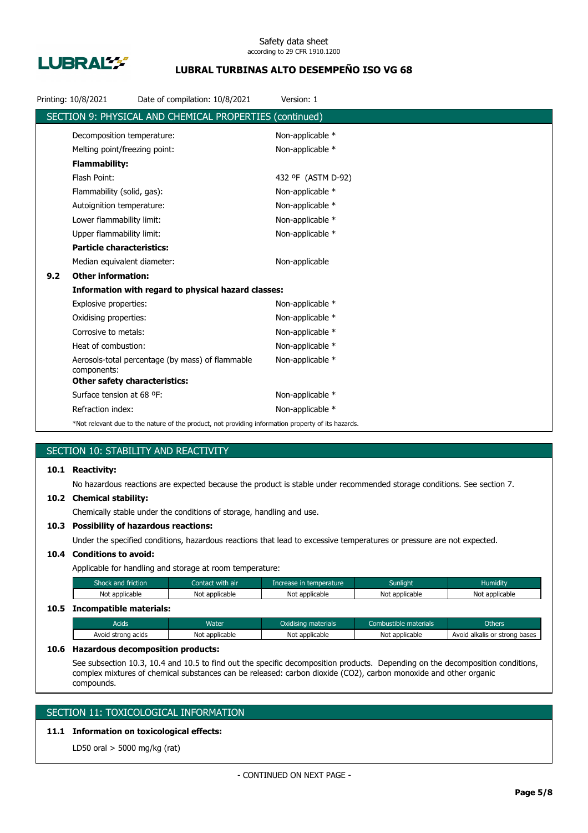

# **LUBRAL TURBINAS ALTO DESEMPEÑO ISO VG 68**

|     | Printing: 10/8/2021                  | Date of compilation: 10/8/2021                                                                     | Version: 1         |
|-----|--------------------------------------|----------------------------------------------------------------------------------------------------|--------------------|
|     |                                      | SECTION 9: PHYSICAL AND CHEMICAL PROPERTIES (continued)                                            |                    |
|     | Decomposition temperature:           |                                                                                                    | Non-applicable *   |
|     | Melting point/freezing point:        |                                                                                                    | Non-applicable *   |
|     | <b>Flammability:</b>                 |                                                                                                    |                    |
|     | Flash Point:                         |                                                                                                    | 432 °F (ASTM D-92) |
|     | Flammability (solid, gas):           |                                                                                                    | Non-applicable *   |
|     | Autoignition temperature:            |                                                                                                    | Non-applicable *   |
|     | Lower flammability limit:            |                                                                                                    | Non-applicable *   |
|     | Upper flammability limit:            |                                                                                                    | Non-applicable *   |
|     | <b>Particle characteristics:</b>     |                                                                                                    |                    |
|     | Median equivalent diameter:          |                                                                                                    | Non-applicable     |
| 9.2 | <b>Other information:</b>            |                                                                                                    |                    |
|     |                                      | Information with regard to physical hazard classes:                                                |                    |
|     | Explosive properties:                |                                                                                                    | Non-applicable *   |
|     | Oxidising properties:                |                                                                                                    | Non-applicable *   |
|     | Corrosive to metals:                 |                                                                                                    | Non-applicable *   |
|     | Heat of combustion:                  |                                                                                                    | Non-applicable *   |
|     | components:                          | Aerosols-total percentage (by mass) of flammable                                                   | Non-applicable *   |
|     | <b>Other safety characteristics:</b> |                                                                                                    |                    |
|     | Surface tension at 68 °F:            |                                                                                                    | Non-applicable *   |
|     | Refraction index:                    |                                                                                                    | Non-applicable *   |
|     |                                      | *Not relevant due to the nature of the product, not providing information property of its hazards. |                    |

# SECTION 10: STABILITY AND REACTIVITY

### **10.1 Reactivity:**

No hazardous reactions are expected because the product is stable under recommended storage conditions. See section 7.

#### **10.2 Chemical stability:**

Chemically stable under the conditions of storage, handling and use.

### **10.3 Possibility of hazardous reactions:**

Under the specified conditions, hazardous reactions that lead to excessive temperatures or pressure are not expected.

# **10.4 Conditions to avoid:**

Applicable for handling and storage at room temperature:

| Shock and friction           | Contact with air | Increase in temperature | <b>Sunlight</b> | <b>Humidity</b> |
|------------------------------|------------------|-------------------------|-----------------|-----------------|
| Not applicable               | Not applicable   | Not applicable          | Not applicable  | Not applicable  |
| 10.5 Incompatible materials: |                  |                         |                 |                 |

# Acids **Water Water Combustible materials** Combustible materials Combustible materials Combustible materials Avoid strong acids Not applicable Not applicable Not applicable Not applicable Avoid alkalis or strong bases

#### **10.6 Hazardous decomposition products:**

See subsection 10.3, 10.4 and 10.5 to find out the specific decomposition products. Depending on the decomposition conditions, complex mixtures of chemical substances can be released: carbon dioxide (CO2), carbon monoxide and other organic compounds.

# SECTION 11: TOXICOLOGICAL INFORMATION

# **11.1 Information on toxicological effects:**

LD50 oral > 5000 mg/kg (rat)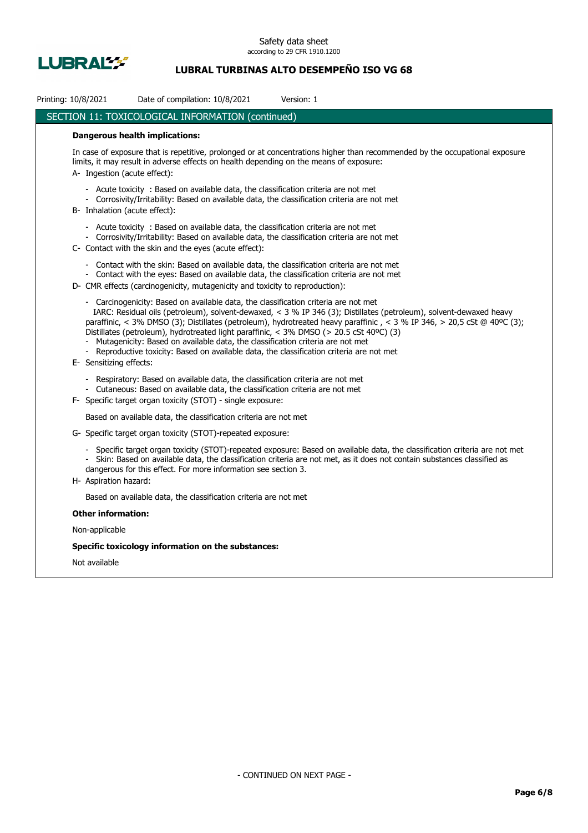

# **LUBRAL TURBINAS ALTO DESEMPEÑO ISO VG 68**

| Printing: 10/8/2021          | Date of compilation: 10/8/2021<br>Version: 1                                                                                                                                                                                                                                                                                                                                                                                                                                                                                                                                                                 |
|------------------------------|--------------------------------------------------------------------------------------------------------------------------------------------------------------------------------------------------------------------------------------------------------------------------------------------------------------------------------------------------------------------------------------------------------------------------------------------------------------------------------------------------------------------------------------------------------------------------------------------------------------|
|                              | <b>SECTION 11: TOXICOLOGICAL INFORMATION (continued)</b>                                                                                                                                                                                                                                                                                                                                                                                                                                                                                                                                                     |
|                              | <b>Dangerous health implications:</b>                                                                                                                                                                                                                                                                                                                                                                                                                                                                                                                                                                        |
| A- Ingestion (acute effect): | In case of exposure that is repetitive, prolonged or at concentrations higher than recommended by the occupational exposure<br>limits, it may result in adverse effects on health depending on the means of exposure:                                                                                                                                                                                                                                                                                                                                                                                        |
|                              | - Acute toxicity : Based on available data, the classification criteria are not met<br>- Corrosivity/Irritability: Based on available data, the classification criteria are not met<br>B- Inhalation (acute effect):                                                                                                                                                                                                                                                                                                                                                                                         |
|                              | - Acute toxicity : Based on available data, the classification criteria are not met<br>- Corrosivity/Irritability: Based on available data, the classification criteria are not met<br>C- Contact with the skin and the eyes (acute effect):                                                                                                                                                                                                                                                                                                                                                                 |
|                              | Contact with the skin: Based on available data, the classification criteria are not met<br>- Contact with the eyes: Based on available data, the classification criteria are not met<br>D- CMR effects (carcinogenicity, mutagenicity and toxicity to reproduction):                                                                                                                                                                                                                                                                                                                                         |
|                              | - Carcinogenicity: Based on available data, the classification criteria are not met<br>IARC: Residual oils (petroleum), solvent-dewaxed, < 3 % IP 346 (3); Distillates (petroleum), solvent-dewaxed heavy<br>paraffinic, < 3% DMSO (3); Distillates (petroleum), hydrotreated heavy paraffinic, < 3 % IP 346, > 20,5 cSt @ 40°C (3);<br>Distillates (petroleum), hydrotreated light paraffinic, < 3% DMSO (> 20.5 cSt 40°C) (3)<br>Mutagenicity: Based on available data, the classification criteria are not met<br>Reproductive toxicity: Based on available data, the classification criteria are not met |
| E- Sensitizing effects:      |                                                                                                                                                                                                                                                                                                                                                                                                                                                                                                                                                                                                              |
|                              | - Respiratory: Based on available data, the classification criteria are not met<br>- Cutaneous: Based on available data, the classification criteria are not met                                                                                                                                                                                                                                                                                                                                                                                                                                             |
|                              | F- Specific target organ toxicity (STOT) - single exposure:                                                                                                                                                                                                                                                                                                                                                                                                                                                                                                                                                  |
|                              | Based on available data, the classification criteria are not met                                                                                                                                                                                                                                                                                                                                                                                                                                                                                                                                             |
|                              | G- Specific target organ toxicity (STOT)-repeated exposure:                                                                                                                                                                                                                                                                                                                                                                                                                                                                                                                                                  |
|                              | Specific target organ toxicity (STOT)-repeated exposure: Based on available data, the classification criteria are not met<br>Skin: Based on available data, the classification criteria are not met, as it does not contain substances classified as<br>dangerous for this effect. For more information see section 3.                                                                                                                                                                                                                                                                                       |
| H- Aspiration hazard:        |                                                                                                                                                                                                                                                                                                                                                                                                                                                                                                                                                                                                              |
|                              | Based on available data, the classification criteria are not met                                                                                                                                                                                                                                                                                                                                                                                                                                                                                                                                             |
| <b>Other information:</b>    |                                                                                                                                                                                                                                                                                                                                                                                                                                                                                                                                                                                                              |
| Non-applicable               |                                                                                                                                                                                                                                                                                                                                                                                                                                                                                                                                                                                                              |
|                              | Specific toxicology information on the substances:                                                                                                                                                                                                                                                                                                                                                                                                                                                                                                                                                           |
| Not available                |                                                                                                                                                                                                                                                                                                                                                                                                                                                                                                                                                                                                              |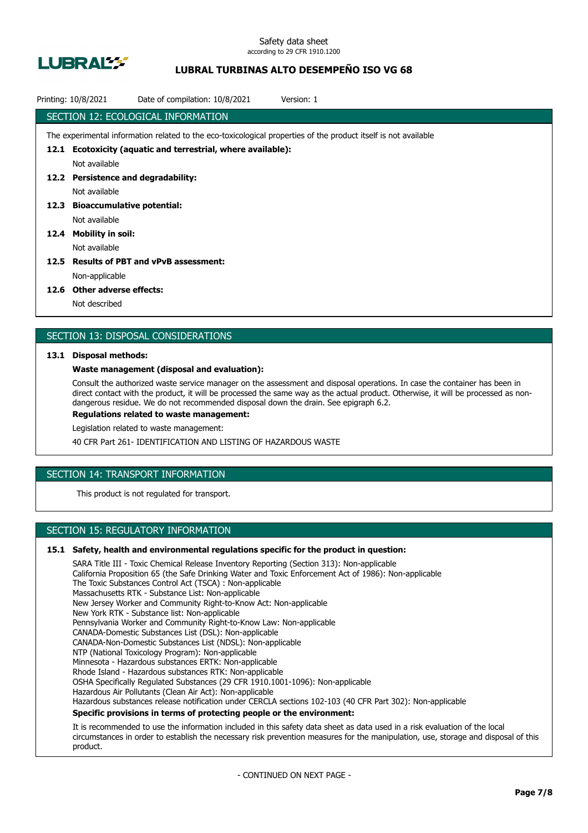

# **LUBRAL TURBINAS ALTO DESEMPEÑO ISO VG 68**

| Printing: 10/8/2021 | Date of compilation: 10/8/2021<br>Version: 1                                                                    |
|---------------------|-----------------------------------------------------------------------------------------------------------------|
|                     | SECTION 12: ECOLOGICAL INFORMATION                                                                              |
|                     | The experimental information related to the eco-toxicological properties of the product itself is not available |
| 12.1                | Ecotoxicity (aquatic and terrestrial, where available):                                                         |
|                     | Not available                                                                                                   |
|                     | 12.2 Persistence and degradability:                                                                             |
|                     | Not available                                                                                                   |
| 12.3                | <b>Bioaccumulative potential:</b>                                                                               |
|                     | Not available                                                                                                   |
| 12.4                | Mobility in soil:                                                                                               |
|                     | Not available                                                                                                   |
| 12.5                | <b>Results of PBT and vPvB assessment:</b>                                                                      |
|                     | Non-applicable                                                                                                  |
|                     | ---                                                                                                             |

#### **12.6 Other adverse effects:**

Not described

### SECTION 13: DISPOSAL CONSIDERATIONS

#### **13.1 Disposal methods:**

#### **Waste management (disposal and evaluation):**

Consult the authorized waste service manager on the assessment and disposal operations. In case the container has been in direct contact with the product, it will be processed the same way as the actual product. Otherwise, it will be processed as nondangerous residue. We do not recommended disposal down the drain. See epigraph 6.2.

**Regulations related to waste management:**

Legislation related to waste management:

40 CFR Part 261- IDENTIFICATION AND LISTING OF HAZARDOUS WASTE

# SECTION 14: TRANSPORT INFORMATION

This product is not regulated for transport.

# SECTION 15: REGULATORY INFORMATION

#### **15.1 Safety, health and environmental regulations specific for the product in question:**

SARA Title III - Toxic Chemical Release Inventory Reporting (Section 313): Non-applicable California Proposition 65 (the Safe Drinking Water and Toxic Enforcement Act of 1986): Non-applicable The Toxic Substances Control Act (TSCA) : Non-applicable Massachusetts RTK - Substance List: Non-applicable New Jersey Worker and Community Right-to-Know Act: Non-applicable New York RTK - Substance list: Non-applicable Pennsylvania Worker and Community Right-to-Know Law: Non-applicable CANADA-Domestic Substances List (DSL): Non-applicable CANADA-Non-Domestic Substances List (NDSL): Non-applicable NTP (National Toxicology Program): Non-applicable Minnesota - Hazardous substances ERTK: Non-applicable Rhode Island - Hazardous substances RTK: Non-applicable OSHA Specifically Regulated Substances (29 CFR 1910.1001-1096): Non-applicable Hazardous Air Pollutants (Clean Air Act): Non-applicable Hazardous substances release notification under CERCLA sections 102-103 (40 CFR Part 302): Non-applicable **Specific provisions in terms of protecting people or the environment:**

It is recommended to use the information included in this safety data sheet as data used in a risk evaluation of the local circumstances in order to establish the necessary risk prevention measures for the manipulation, use, storage and disposal of this product.

- CONTINUED ON NEXT PAGE -